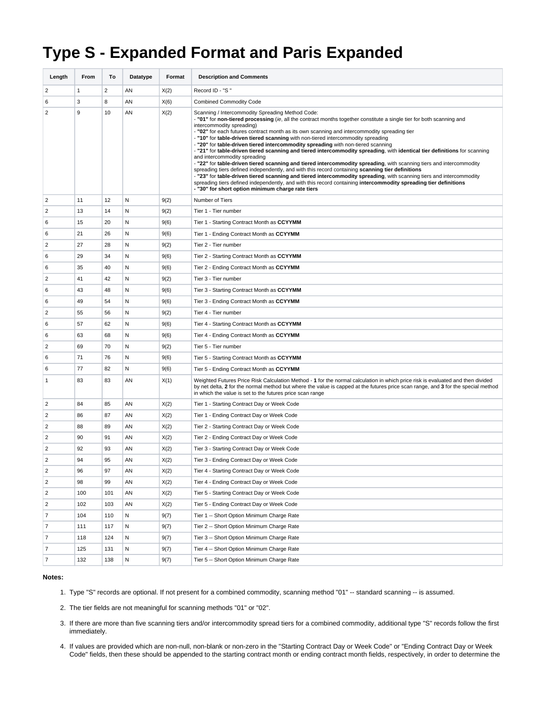## **Type S - Expanded Format and Paris Expanded**

| Length         | From | То             | Datatype | Format | <b>Description and Comments</b>                                                                                                                                                                                                                                                                                                                                                                                                                                                                                                                                                                                                                                                                                                                                                                                                                                                                                                                                                                                                                                                                                                                                        |
|----------------|------|----------------|----------|--------|------------------------------------------------------------------------------------------------------------------------------------------------------------------------------------------------------------------------------------------------------------------------------------------------------------------------------------------------------------------------------------------------------------------------------------------------------------------------------------------------------------------------------------------------------------------------------------------------------------------------------------------------------------------------------------------------------------------------------------------------------------------------------------------------------------------------------------------------------------------------------------------------------------------------------------------------------------------------------------------------------------------------------------------------------------------------------------------------------------------------------------------------------------------------|
| $\overline{2}$ | 1    | $\overline{2}$ | AN       | X(2)   | Record ID - "S"                                                                                                                                                                                                                                                                                                                                                                                                                                                                                                                                                                                                                                                                                                                                                                                                                                                                                                                                                                                                                                                                                                                                                        |
| 6              | 3    | 8              | AN       | X(6)   | <b>Combined Commodity Code</b>                                                                                                                                                                                                                                                                                                                                                                                                                                                                                                                                                                                                                                                                                                                                                                                                                                                                                                                                                                                                                                                                                                                                         |
| $\overline{2}$ | 9    | 10             | AN       | X(2)   | Scanning / Intercommodity Spreading Method Code:<br>- "01" for non-tiered processing (ie, all the contract months together constitute a single tier for both scanning and<br>intercommodity spreading)<br>- "02" for each futures contract month as its own scanning and intercommodity spreading tier<br>- "10" for table-driven tiered scanning with non-tiered intercommodity spreading<br>- "20" for table-driven tiered intercommodity spreading with non-tiered scanning<br>- "21" for table-driven tiered scanning and tiered intercommodity spreading, with identical tier definitions for scanning<br>and intercommodity spreading<br>- "22" for table-driven tiered scanning and tiered intercommodity spreading, with scanning tiers and intercommodity<br>spreading tiers defined independently, and with this record containing scanning tier definitions<br>- "23" for table-driven tiered scanning and tiered intercommodity spreading, with scanning tiers and intercommodity<br>spreading tiers defined independently, and with this record containing intercommodity spreading tier definitions<br>- "30" for short option minimum charge rate tiers |
| $\overline{2}$ | 11   | 12             | N        | 9(2)   | Number of Tiers                                                                                                                                                                                                                                                                                                                                                                                                                                                                                                                                                                                                                                                                                                                                                                                                                                                                                                                                                                                                                                                                                                                                                        |
| 2              | 13   | 14             | Ν        | 9(2)   | Tier 1 - Tier number                                                                                                                                                                                                                                                                                                                                                                                                                                                                                                                                                                                                                                                                                                                                                                                                                                                                                                                                                                                                                                                                                                                                                   |
| 6              | 15   | 20             | Ν        | 9(6)   | Tier 1 - Starting Contract Month as CCYYMM                                                                                                                                                                                                                                                                                                                                                                                                                                                                                                                                                                                                                                                                                                                                                                                                                                                                                                                                                                                                                                                                                                                             |
| 6              | 21   | 26             | Ν        | 9(6)   | Tier 1 - Ending Contract Month as CCYYMM                                                                                                                                                                                                                                                                                                                                                                                                                                                                                                                                                                                                                                                                                                                                                                                                                                                                                                                                                                                                                                                                                                                               |
| $\overline{2}$ | 27   | 28             | Ν        | 9(2)   | Tier 2 - Tier number                                                                                                                                                                                                                                                                                                                                                                                                                                                                                                                                                                                                                                                                                                                                                                                                                                                                                                                                                                                                                                                                                                                                                   |
| 6              | 29   | 34             | Ν        | 9(6)   | Tier 2 - Starting Contract Month as CCYYMM                                                                                                                                                                                                                                                                                                                                                                                                                                                                                                                                                                                                                                                                                                                                                                                                                                                                                                                                                                                                                                                                                                                             |
| 6              | 35   | 40             | Ν        | 9(6)   | Tier 2 - Ending Contract Month as CCYYMM                                                                                                                                                                                                                                                                                                                                                                                                                                                                                                                                                                                                                                                                                                                                                                                                                                                                                                                                                                                                                                                                                                                               |
| $\overline{2}$ | 41   | 42             | Ν        | 9(2)   | Tier 3 - Tier number                                                                                                                                                                                                                                                                                                                                                                                                                                                                                                                                                                                                                                                                                                                                                                                                                                                                                                                                                                                                                                                                                                                                                   |
| 6              | 43   | 48             | N        | 9(6)   | Tier 3 - Starting Contract Month as CCYYMM                                                                                                                                                                                                                                                                                                                                                                                                                                                                                                                                                                                                                                                                                                                                                                                                                                                                                                                                                                                                                                                                                                                             |
| 6              | 49   | 54             | Ν        | 9(6)   | Tier 3 - Ending Contract Month as CCYYMM                                                                                                                                                                                                                                                                                                                                                                                                                                                                                                                                                                                                                                                                                                                                                                                                                                                                                                                                                                                                                                                                                                                               |
| 2              | 55   | 56             | N        | 9(2)   | Tier 4 - Tier number                                                                                                                                                                                                                                                                                                                                                                                                                                                                                                                                                                                                                                                                                                                                                                                                                                                                                                                                                                                                                                                                                                                                                   |
| 6              | 57   | 62             | Ν        | 9(6)   | Tier 4 - Starting Contract Month as CCYYMM                                                                                                                                                                                                                                                                                                                                                                                                                                                                                                                                                                                                                                                                                                                                                                                                                                                                                                                                                                                                                                                                                                                             |
| 6              | 63   | 68             | Ν        | 9(6)   | Tier 4 - Ending Contract Month as CCYYMM                                                                                                                                                                                                                                                                                                                                                                                                                                                                                                                                                                                                                                                                                                                                                                                                                                                                                                                                                                                                                                                                                                                               |
| 2              | 69   | 70             | N        | 9(2)   | Tier 5 - Tier number                                                                                                                                                                                                                                                                                                                                                                                                                                                                                                                                                                                                                                                                                                                                                                                                                                                                                                                                                                                                                                                                                                                                                   |
| 6              | 71   | 76             | Ν        | 9(6)   | Tier 5 - Starting Contract Month as CCYYMM                                                                                                                                                                                                                                                                                                                                                                                                                                                                                                                                                                                                                                                                                                                                                                                                                                                                                                                                                                                                                                                                                                                             |
| 6              | 77   | 82             | Ν        | 9(6)   | Tier 5 - Ending Contract Month as CCYYMM                                                                                                                                                                                                                                                                                                                                                                                                                                                                                                                                                                                                                                                                                                                                                                                                                                                                                                                                                                                                                                                                                                                               |
| 1              | 83   | 83             | AN       | X(1)   | Weighted Futures Price Risk Calculation Method - 1 for the normal calculation in which price risk is evaluated and then divided<br>by net delta, 2 for the normal method but where the value is capped at the futures price scan range, and 3 for the special method<br>in which the value is set to the futures price scan range                                                                                                                                                                                                                                                                                                                                                                                                                                                                                                                                                                                                                                                                                                                                                                                                                                      |
| 2              | 84   | 85             | AN       | X(2)   | Tier 1 - Starting Contract Day or Week Code                                                                                                                                                                                                                                                                                                                                                                                                                                                                                                                                                                                                                                                                                                                                                                                                                                                                                                                                                                                                                                                                                                                            |
| 2              | 86   | 87             | AN       | X(2)   | Tier 1 - Ending Contract Day or Week Code                                                                                                                                                                                                                                                                                                                                                                                                                                                                                                                                                                                                                                                                                                                                                                                                                                                                                                                                                                                                                                                                                                                              |
| 2              | 88   | 89             | AN       | X(2)   | Tier 2 - Starting Contract Day or Week Code                                                                                                                                                                                                                                                                                                                                                                                                                                                                                                                                                                                                                                                                                                                                                                                                                                                                                                                                                                                                                                                                                                                            |
| $\overline{2}$ | 90   | 91             | AN       | X(2)   | Tier 2 - Ending Contract Day or Week Code                                                                                                                                                                                                                                                                                                                                                                                                                                                                                                                                                                                                                                                                                                                                                                                                                                                                                                                                                                                                                                                                                                                              |
| $\overline{2}$ | 92   | 93             | AN       | X(2)   | Tier 3 - Starting Contract Day or Week Code                                                                                                                                                                                                                                                                                                                                                                                                                                                                                                                                                                                                                                                                                                                                                                                                                                                                                                                                                                                                                                                                                                                            |
| 2              | 94   | 95             | AN       | X(2)   | Tier 3 - Ending Contract Day or Week Code                                                                                                                                                                                                                                                                                                                                                                                                                                                                                                                                                                                                                                                                                                                                                                                                                                                                                                                                                                                                                                                                                                                              |
| 2              | 96   | 97             | ΑN       | X(2)   | Tier 4 - Starting Contract Day or Week Code                                                                                                                                                                                                                                                                                                                                                                                                                                                                                                                                                                                                                                                                                                                                                                                                                                                                                                                                                                                                                                                                                                                            |
| $\overline{2}$ | 98   | 99             | ΑN       | X(2)   | Tier 4 - Ending Contract Day or Week Code                                                                                                                                                                                                                                                                                                                                                                                                                                                                                                                                                                                                                                                                                                                                                                                                                                                                                                                                                                                                                                                                                                                              |
| $\overline{2}$ | 100  | 101            | ΑN       | X(2)   | Tier 5 - Starting Contract Day or Week Code                                                                                                                                                                                                                                                                                                                                                                                                                                                                                                                                                                                                                                                                                                                                                                                                                                                                                                                                                                                                                                                                                                                            |
| $\overline{2}$ | 102  | 103            | AN       | X(2)   | Tier 5 - Ending Contract Day or Week Code                                                                                                                                                                                                                                                                                                                                                                                                                                                                                                                                                                                                                                                                                                                                                                                                                                                                                                                                                                                                                                                                                                                              |
| $\overline{7}$ | 104  | 110            | N        | 9(7)   | Tier 1 -- Short Option Minimum Charge Rate                                                                                                                                                                                                                                                                                                                                                                                                                                                                                                                                                                                                                                                                                                                                                                                                                                                                                                                                                                                                                                                                                                                             |
| $\overline{7}$ | 111  | 117            | Ν        | 9(7)   | Tier 2 -- Short Option Minimum Charge Rate                                                                                                                                                                                                                                                                                                                                                                                                                                                                                                                                                                                                                                                                                                                                                                                                                                                                                                                                                                                                                                                                                                                             |
| $\overline{7}$ | 118  | 124            | Ν        | 9(7)   | Tier 3 -- Short Option Minimum Charge Rate                                                                                                                                                                                                                                                                                                                                                                                                                                                                                                                                                                                                                                                                                                                                                                                                                                                                                                                                                                                                                                                                                                                             |
| 7              | 125  | 131            | Ν        | 9(7)   | Tier 4 -- Short Option Minimum Charge Rate                                                                                                                                                                                                                                                                                                                                                                                                                                                                                                                                                                                                                                                                                                                                                                                                                                                                                                                                                                                                                                                                                                                             |
| $\overline{7}$ | 132  | 138            | N        | 9(7)   | Tier 5 -- Short Option Minimum Charge Rate                                                                                                                                                                                                                                                                                                                                                                                                                                                                                                                                                                                                                                                                                                                                                                                                                                                                                                                                                                                                                                                                                                                             |

## **Notes:**

- 1. Type "S" records are optional. If not present for a combined commodity, scanning method "01" -- standard scanning -- is assumed.
- 2. The tier fields are not meaningful for scanning methods "01" or "02".
- 3. If there are more than five scanning tiers and/or intercommodity spread tiers for a combined commodity, additional type "S" records follow the first immediately.
- 4. If values are provided which are non-null, non-blank or non-zero in the "Starting Contract Day or Week Code" or "Ending Contract Day or Week Code" fields, then these should be appended to the starting contract month or ending contract month fields, respectively, in order to determine the